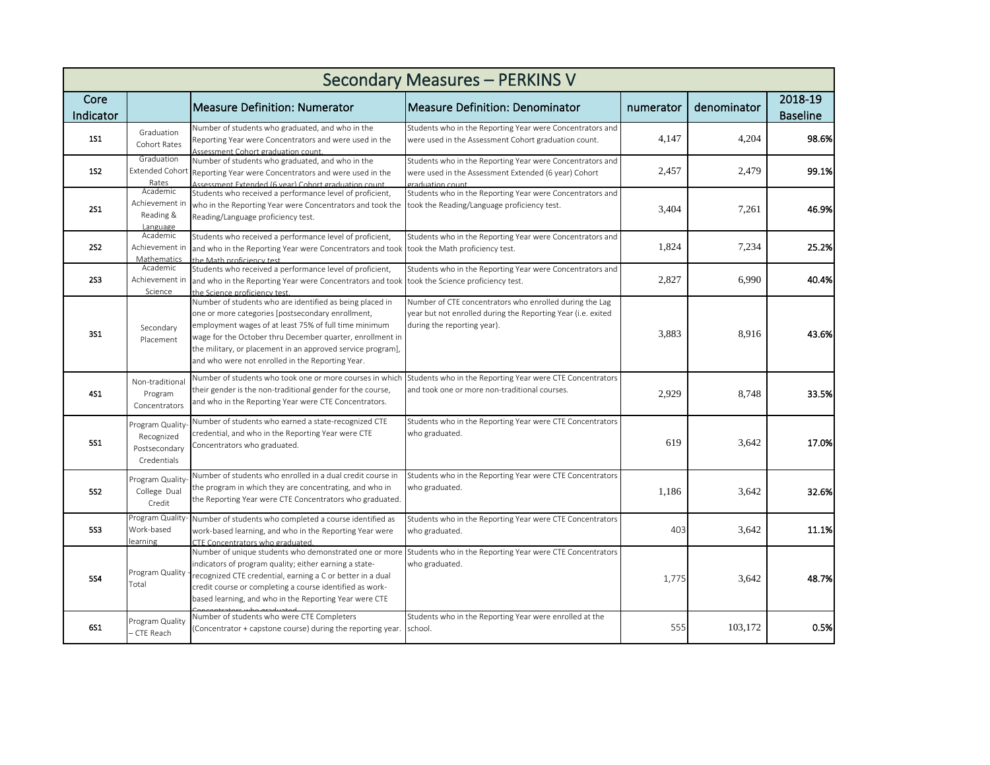| <b>Secondary Measures - PERKINS V</b> |                                                               |                                                                                                                                                                                                                                                                                                                                                        |                                                                                                                                                        |           |             |                            |  |  |  |  |
|---------------------------------------|---------------------------------------------------------------|--------------------------------------------------------------------------------------------------------------------------------------------------------------------------------------------------------------------------------------------------------------------------------------------------------------------------------------------------------|--------------------------------------------------------------------------------------------------------------------------------------------------------|-----------|-------------|----------------------------|--|--|--|--|
| Core<br>Indicator                     |                                                               | <b>Measure Definition: Numerator</b>                                                                                                                                                                                                                                                                                                                   | Measure Definition: Denominator                                                                                                                        | numerator | denominator | 2018-19<br><b>Baseline</b> |  |  |  |  |
| <b>1S1</b>                            | Graduation<br>Cohort Rates                                    | Number of students who graduated, and who in the<br>Reporting Year were Concentrators and were used in the<br>Assessment Cohort graduation count.                                                                                                                                                                                                      | Students who in the Reporting Year were Concentrators and<br>were used in the Assessment Cohort graduation count.                                      | 4,147     | 4,204       | 98.6%                      |  |  |  |  |
| <b>1S2</b>                            | Graduation<br><b>Extended Cohort</b><br>Rates                 | Number of students who graduated, and who in the<br>Reporting Year were Concentrators and were used in the<br>Assessment Extended (6 year) Cohort graduation count                                                                                                                                                                                     | Students who in the Reporting Year were Concentrators and<br>were used in the Assessment Extended (6 year) Cohort<br>graduation count                  | 2,457     | 2,479       | 99.1%                      |  |  |  |  |
| <b>2S1</b>                            | Academic<br>Achievement in<br>Reading &<br>Language           | Students who received a performance level of proficient,<br>who in the Reporting Year were Concentrators and took the<br>Reading/Language proficiency test.                                                                                                                                                                                            | Students who in the Reporting Year were Concentrators and<br>took the Reading/Language proficiency test.                                               | 3,404     | 7,261       | 46.9%                      |  |  |  |  |
| <b>2S2</b>                            | Academic<br>Achievement in<br>Mathematics                     | Students who received a performance level of proficient,<br>and who in the Reporting Year were Concentrators and took took the Math proficiency test.<br>the Math proficiency test.                                                                                                                                                                    | Students who in the Reporting Year were Concentrators and                                                                                              | 1,824     | 7,234       | 25.2%                      |  |  |  |  |
| <b>2S3</b>                            | Academic<br>Achievement in<br>Science                         | Students who received a performance level of proficient,<br>and who in the Reporting Year were Concentrators and took took the Science proficiency test.<br>the Science proficiency test                                                                                                                                                               | Students who in the Reporting Year were Concentrators and                                                                                              | 2,827     | 6,990       | 40.4%                      |  |  |  |  |
| <b>3S1</b>                            | Secondary<br>Placement                                        | Number of students who are identified as being placed in<br>one or more categories [postsecondary enrollment,<br>employment wages of at least 75% of full time minimum<br>wage for the October thru December quarter, enrollment in<br>the military, or placement in an approved service program],<br>and who were not enrolled in the Reporting Year. | Number of CTE concentrators who enrolled during the Lag<br>year but not enrolled during the Reporting Year (i.e. exited<br>during the reporting year). | 3,883     | 8.916       | 43.6%                      |  |  |  |  |
| <b>4S1</b>                            | Non-traditional<br>Program<br>Concentrators                   | Number of students who took one or more courses in which<br>their gender is the non-traditional gender for the course,<br>and who in the Reporting Year were CTE Concentrators.                                                                                                                                                                        | Students who in the Reporting Year were CTE Concentrators<br>and took one or more non-traditional courses.                                             | 2,929     | 8,748       | 33.5%                      |  |  |  |  |
| 551                                   | Program Quality<br>Recognized<br>Postsecondary<br>Credentials | Number of students who earned a state-recognized CTE<br>credential, and who in the Reporting Year were CTE<br>Concentrators who graduated.                                                                                                                                                                                                             | Students who in the Reporting Year were CTE Concentrators<br>who graduated.                                                                            | 619       | 3,642       | 17.0%                      |  |  |  |  |
| <b>5S2</b>                            | Program Quality<br>College Dual<br>Credit                     | Number of students who enrolled in a dual credit course in<br>the program in which they are concentrating, and who in<br>the Reporting Year were CTE Concentrators who graduated.                                                                                                                                                                      | Students who in the Reporting Year were CTE Concentrators<br>who graduated.                                                                            | 1,186     | 3,642       | 32.6%                      |  |  |  |  |
| <b>5S3</b>                            | Program Quality-<br>Work-based<br>earning                     | Number of students who completed a course identified as<br>work-based learning, and who in the Reporting Year were<br>CTF Concentrators who graduated                                                                                                                                                                                                  | Students who in the Reporting Year were CTE Concentrators<br>who graduated.                                                                            | 403       | 3,642       | 11.1%                      |  |  |  |  |
| <b>5S4</b>                            | Program Quality<br>Total                                      | indicators of program quality; either earning a state-<br>recognized CTE credential, earning a C or better in a dual<br>credit course or completing a course identified as work-<br>based learning, and who in the Reporting Year were CTE                                                                                                             | Number of unique students who demonstrated one or more Students who in the Reporting Year were CTE Concentrators<br>who graduated.                     | 1,775     | 3,642       | 48.7%                      |  |  |  |  |
| 6S1                                   | Program Quality<br>CTE Reach                                  | Number of students who were CTE Completers<br>(Concentrator + capstone course) during the reporting year.                                                                                                                                                                                                                                              | Students who in the Reporting Year were enrolled at the<br>school.                                                                                     | 555       | 103,172     | 0.5%                       |  |  |  |  |